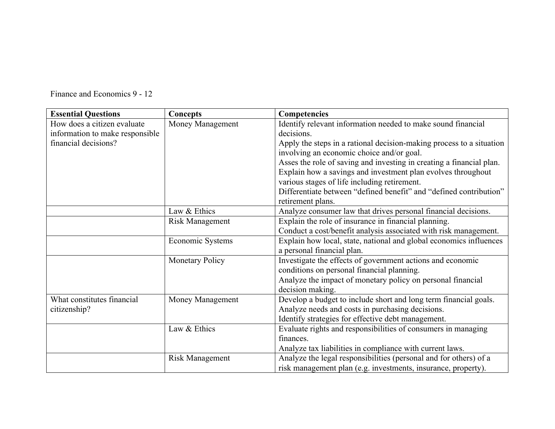| Finance and Economics 9 - 12 |  |  |  |  |
|------------------------------|--|--|--|--|
|------------------------------|--|--|--|--|

| <b>Essential Questions</b>      | <b>Concepts</b>        | Competencies                                                         |
|---------------------------------|------------------------|----------------------------------------------------------------------|
| How does a citizen evaluate     | Money Management       | Identify relevant information needed to make sound financial         |
| information to make responsible |                        | decisions.                                                           |
| financial decisions?            |                        | Apply the steps in a rational decision-making process to a situation |
|                                 |                        | involving an economic choice and/or goal.                            |
|                                 |                        | Asses the role of saving and investing in creating a financial plan. |
|                                 |                        | Explain how a savings and investment plan evolves throughout         |
|                                 |                        | various stages of life including retirement.                         |
|                                 |                        | Differentiate between "defined benefit" and "defined contribution"   |
|                                 |                        | retirement plans.                                                    |
|                                 | Law & Ethics           | Analyze consumer law that drives personal financial decisions.       |
|                                 | <b>Risk Management</b> | Explain the role of insurance in financial planning.                 |
|                                 |                        | Conduct a cost/benefit analysis associated with risk management.     |
|                                 | Economic Systems       | Explain how local, state, national and global economics influences   |
|                                 |                        | a personal financial plan.                                           |
|                                 | <b>Monetary Policy</b> | Investigate the effects of government actions and economic           |
|                                 |                        | conditions on personal financial planning.                           |
|                                 |                        | Analyze the impact of monetary policy on personal financial          |
|                                 |                        | decision making.                                                     |
| What constitutes financial      | Money Management       | Develop a budget to include short and long term financial goals.     |
| citizenship?                    |                        | Analyze needs and costs in purchasing decisions.                     |
|                                 |                        | Identify strategies for effective debt management.                   |
|                                 | Law & Ethics           | Evaluate rights and responsibilities of consumers in managing        |
|                                 |                        | finances.                                                            |
|                                 |                        | Analyze tax liabilities in compliance with current laws.             |
|                                 | <b>Risk Management</b> | Analyze the legal responsibilities (personal and for others) of a    |
|                                 |                        | risk management plan (e.g. investments, insurance, property).        |